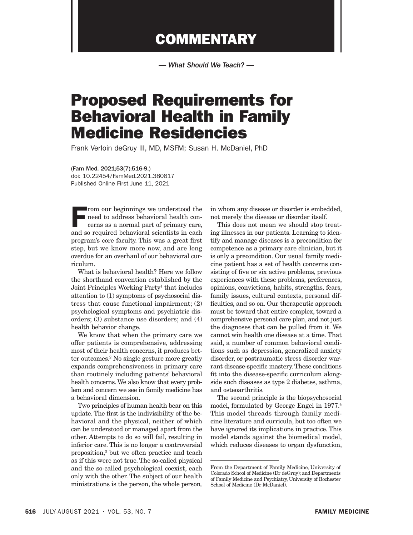## **COMMENTARY**

*— What Should We Teach? —*

## Proposed Requirements for Behavioral Health in Family Medicine Residencies

Frank Verloin deGruy III, MD, MSFM; Susan H. McDaniel, PhD

(Fam Med. 2021;53(7):516-9.) doi: 10.22454/FamMed.2021.380617 Published Online First June 11, 2021

 $\blacksquare$  <br> <br> From our beginnings we understood the need to address behavioral health concerns as a normal part of primary care, and so required behavioral scientists in each program's core faculty. This was a great first step, but we know more now, and are long overdue for an overhaul of our behavioral curriculum.

What is behavioral health? Here we follow the shorthand convention established by the Joint Principles Working Party<sup>1</sup> that includes attention to (1) symptoms of psychosocial distress that cause functional impairment; (2) psychological symptoms and psychiatric disorders; (3) substance use disorders; and (4) health behavior change.

We know that when the primary care we offer patients is comprehensive, addressing most of their health concerns, it produces better outcomes.2 No single gesture more greatly expands comprehensiveness in primary care than routinely including patients' behavioral health concerns. We also know that every problem and concern we see in family medicine has a behavioral dimension.

Two principles of human health bear on this update. The first is the indivisibility of the behavioral and the physical, neither of which can be understood or managed apart from the other. Attempts to do so will fail, resulting in inferior care. This is no longer a controversial proposition,3 but we often practice and teach as if this were not true. The so-called physical and the so-called psychological coexist, each only with the other. The subject of our health ministrations is the person, the whole person*,*

in whom any disease or disorder is embedded, not merely the disease or disorder itself.

This does not mean we should stop treating illnesses in our patients. Learning to identify and manage diseases is a precondition for competence as a primary care clinician, but it is only a precondition. Our usual family medicine patient has a set of health concerns consisting of five or six active problems, previous experiences with these problems, preferences, opinions, convictions, habits, strengths, fears, family issues, cultural contexts, personal difficulties, and so on. Our therapeutic approach must be toward that entire complex, toward a comprehensive personal care plan, and not just the diagnoses that can be pulled from it. We cannot win health one disease at a time. That said, a number of common behavioral conditions such as depression, generalized anxiety disorder, or postraumatic stress disorder warrant disease-specific mastery. These conditions fit into the disease-specific curriculum alongside such diseases as type 2 diabetes, asthma, and osteoarthritis.

The second principle is the biopsychosocial model, formulated by George Engel in 1977.4 This model threads through family medicine literature and curricula, but too often we have ignored its implications in practice. This model stands against the biomedical model, which reduces diseases to organ dysfunction,

From the Department of Family Medicine, University of Colorado School of Medicine (Dr deGruy); and Departments of Family Medicine and Psychiatry, University of Rochester School of Medicine (Dr McDaniel).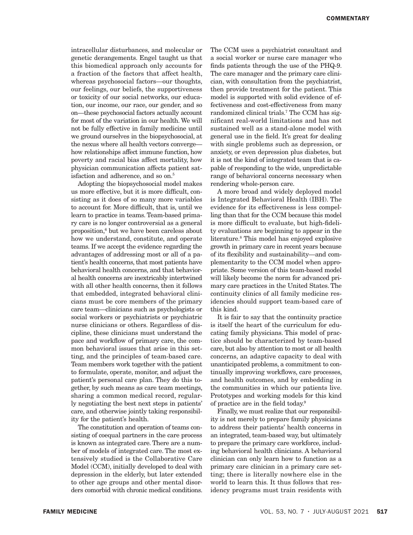intracellular disturbances, and molecular or genetic derangements. Engel taught us that this biomedical approach only accounts for a fraction of the factors that affect health, whereas psychosocial factors—our thoughts, our feelings, our beliefs, the supportiveness or toxicity of our social networks, our education, our income, our race, our gender, and so on—these psychosocial factors actually account for most of the variation in our health. We will not be fully effective in family medicine until we ground ourselves in the biopsychosocial, at the nexus where all health vectors converge how relationships affect immune function, how poverty and racial bias affect mortality, how physician communication affects patient satisfaction and adherence, and so on.<sup>5</sup>

Adopting the biopsychosocial model makes us more effective, but it is more difficult, consisting as it does of so many more variables to account for. More difficult, that is, until we learn to practice in teams. Team-based primary care is no longer controversial as a general proposition,6 but we have been careless about how we understand, constitute, and operate teams. If we accept the evidence regarding the advantages of addressing most or all of a patient's health concerns, that most patients have behavioral health concerns, and that behavioral health concerns are inextricably intertwined with all other health concerns, then it follows that embedded, integrated behavioral clinicians must be core members of the primary care team—clinicians such as psychologists or social workers or psychiatrists or psychiatric nurse clinicians or others. Regardless of discipline, these clinicians must understand the pace and workflow of primary care, the common behavioral issues that arise in this setting, and the principles of team-based care. Team members work together with the patient to formulate, operate, monitor, and adjust the patient's personal care plan. They do this together, by such means as care team meetings, sharing a common medical record, regularly negotiating the best next steps in patients' care, and otherwise jointly taking responsibility for the patient's health.

The constitution and operation of teams consisting of coequal partners in the care process is known as integrated care. There are a number of models of integrated care. The most extensively studied is the Collaborative Care Model (CCM), initially developed to deal with depression in the elderly, but later extended to other age groups and other mental disorders comorbid with chronic medical conditions.

The CCM uses a psychiatrist consultant and a social worker or nurse care manager who finds patients through the use of the PHQ-9. The care manager and the primary care clinician, with consultation from the psychiatrist, then provide treatment for the patient. This model is supported with solid evidence of effectiveness and cost-effectiveness from many randomized clinical trials.7 The CCM has significant real-world limitations and has not sustained well as a stand-alone model with general use in the field. It's great for dealing with single problems such as depression, or anxiety, or even depression plus diabetes, but it is not the kind of integrated team that is capable of responding to the wide, unpredictable range of behavioral concerns necessary when rendering whole-person care.

A more broad and widely deployed model is Integrated Behavioral Health (IBH). The evidence for its effectiveness is less compelling than that for the CCM because this model is more difficult to evaluate, but high-fidelity evaluations are beginning to appear in the literature.8 This model has enjoyed explosive growth in primary care in recent years because of its flexibility and sustainability—and complementarity to the CCM model when appropriate. Some version of this team-based model will likely become the norm for advanced primary care practices in the United States. The continuity clinics of all family medicine residencies should support team-based care of this kind.

It is fair to say that the continuity practice is itself the heart of the curriculum for educating family physicians. This model of practice should be characterized by team-based care, but also by attention to most or all health concerns, an adaptive capacity to deal with unanticipated problems, a commitment to continually improving workflows, care processes, and health outcomes, and by embedding in the communities in which our patients live. Prototypes and working models for this kind of practice are in the field today.9

Finally, we must realize that our responsibility is not merely to prepare family physicians to address their patients' health concerns in an integrated, team-based way, but ultimately to prepare the primary care workforce, including behavioral health clinicians. A behavioral clinician can only learn how to function as a primary care clinician in a primary care setting; there is literally nowhere else in the world to learn this. It thus follows that residency programs must train residents with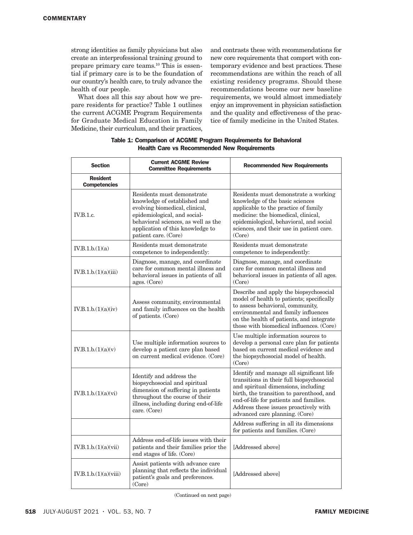strong identities as family physicians but also create an interprofessional training ground to prepare primary care teams.10 This is essential if primary care is to be the foundation of our country's health care, to truly advance the health of our people.

What does all this say about how we prepare residents for practice? Table 1 outlines the current ACGME Program Requirements for Graduate Medical Education in Family Medicine, their curriculum, and their practices,

and contrasts these with recommendations for new core requirements that comport with contemporary evidence and best practices. These recommendations are within the reach of all existing residency programs. Should these recommendations become our new baseline requirements, we would almost immediately enjoy an improvement in physician satisfaction and the quality and effectiveness of the practice of family medicine in the United States.

| <b>Section</b>                         | <b>Current ACGME Review</b><br><b>Committee Requirements</b>                                                                                                                                                                    | <b>Recommended New Requirements</b>                                                                                                                                                                                                                                                           |
|----------------------------------------|---------------------------------------------------------------------------------------------------------------------------------------------------------------------------------------------------------------------------------|-----------------------------------------------------------------------------------------------------------------------------------------------------------------------------------------------------------------------------------------------------------------------------------------------|
| <b>Resident</b><br><b>Competencies</b> |                                                                                                                                                                                                                                 |                                                                                                                                                                                                                                                                                               |
| IV.B.1.c.                              | Residents must demonstrate<br>knowledge of established and<br>evolving biomedical, clinical,<br>epidemiological, and social-<br>behavioral sciences, as well as the<br>application of this knowledge to<br>patient care. (Core) | Residents must demonstrate a working<br>knowledge of the basic sciences<br>applicable to the practice of family<br>medicine: the biomedical, clinical,<br>epidemiological, behavioral, and social<br>sciences, and their use in patient care.<br>(Core)                                       |
| IV.B.1.b.(1)(a)                        | Residents must demonstrate<br>competence to independently:                                                                                                                                                                      | Residents must demonstrate<br>competence to independently:                                                                                                                                                                                                                                    |
| IV.B.1.b.(1)(a)(iii)                   | Diagnose, manage, and coordinate<br>care for common mental illness and<br>behavioral issues in patients of all<br>ages. (Core)                                                                                                  | Diagnose, manage, and coordinate<br>care for common mental illness and<br>behavioral issues in patients of all ages.<br>(Core)                                                                                                                                                                |
| IV.B.1.b.(1)(a)(iv)                    | Assess community, environmental<br>and family influences on the health<br>of patients. (Core)                                                                                                                                   | Describe and apply the biopsychosocial<br>model of health to patients; specifically<br>to assess behavioral, community,<br>environmental and family influences<br>on the health of patients, and integrate<br>those with biomedical influences. (Core)                                        |
| IV.B.1.b.(1)(a)(v)                     | Use multiple information sources to<br>develop a patient care plan based<br>on current medical evidence. (Core)                                                                                                                 | Use multiple information sources to<br>develop a personal care plan for patients<br>based on current medical evidence and<br>the biopsychosocial model of health.<br>(Core)                                                                                                                   |
| IV.B.1.b.(1)(a)(vi)                    | Identify and address the<br>biopsychosocial and spiritual<br>dimension of suffering in patients<br>throughout the course of their<br>illness, including during end-of-life<br>care. (Core)                                      | Identify and manage all significant life<br>transitions in their full biopsychosocial<br>and spiritual dimensions, including<br>birth, the transition to parenthood, and<br>end-of-life for patients and families.<br>Address these issues proactively with<br>advanced care planning. (Core) |
|                                        |                                                                                                                                                                                                                                 | Address suffering in all its dimensions<br>for patients and families. (Core)                                                                                                                                                                                                                  |
| IV.B.1.b.(1)(a)(vii)                   | Address end-of-life issues with their<br>patients and their families prior the<br>end stages of life. (Core)                                                                                                                    | [Addressed above]                                                                                                                                                                                                                                                                             |
| IV.B.1.b.(1)(a)(viii)                  | Assist patients with advance care<br>planning that reflects the individual<br>patient's goals and preferences.<br>(Core)                                                                                                        | [Addressed above]                                                                                                                                                                                                                                                                             |

## Table 1: Comparison of ACGME Program Requirements for Behavioral Health Care vs Recommended New Requirements

(Continued on next page)